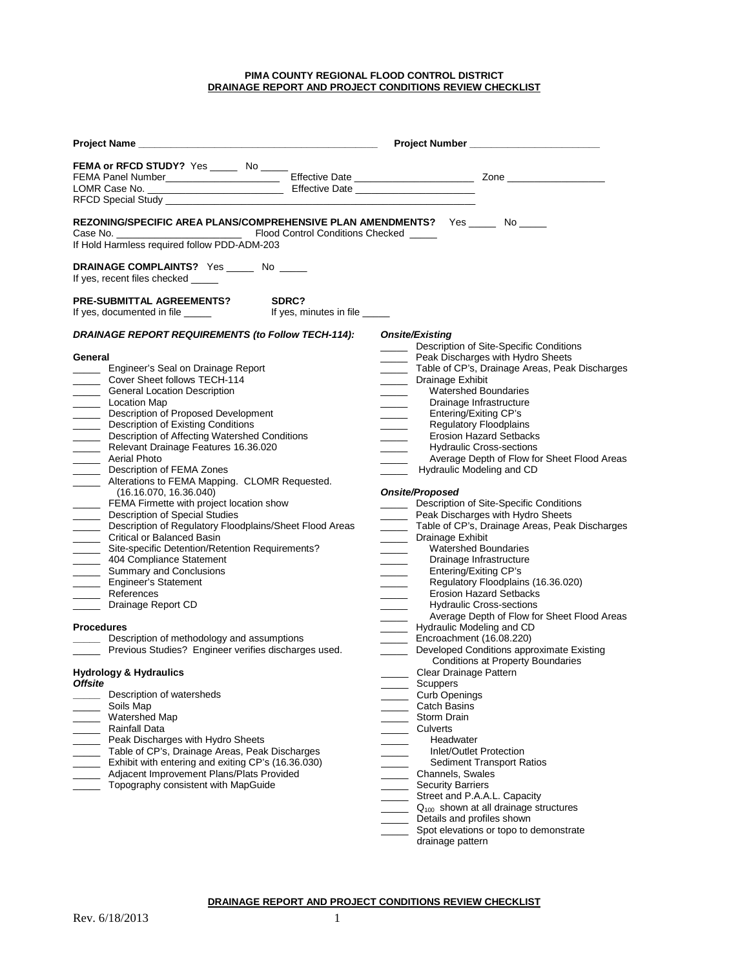## **PIMA COUNTY REGIONAL FLOOD CONTROL DISTRICT DRAINAGE REPORT AND PROJECT CONDITIONS REVIEW CHECKLIST**

|                                                                                                                                                                                                                                                                                                                                                                                                                                                                                                                                                                                                                                                                                                                                                                                                                                                                                  |       | Project Number ________________________                                                                                                                                                                                                                                                                                                                                                                                                                                                                                                                                                                                                                                                                                                                                                                                                                                                                                                                                                                                                                                                                                                                                                                                                                                                                                                                                                                                                                                                                                                                                                                                                                                      |  |
|----------------------------------------------------------------------------------------------------------------------------------------------------------------------------------------------------------------------------------------------------------------------------------------------------------------------------------------------------------------------------------------------------------------------------------------------------------------------------------------------------------------------------------------------------------------------------------------------------------------------------------------------------------------------------------------------------------------------------------------------------------------------------------------------------------------------------------------------------------------------------------|-------|------------------------------------------------------------------------------------------------------------------------------------------------------------------------------------------------------------------------------------------------------------------------------------------------------------------------------------------------------------------------------------------------------------------------------------------------------------------------------------------------------------------------------------------------------------------------------------------------------------------------------------------------------------------------------------------------------------------------------------------------------------------------------------------------------------------------------------------------------------------------------------------------------------------------------------------------------------------------------------------------------------------------------------------------------------------------------------------------------------------------------------------------------------------------------------------------------------------------------------------------------------------------------------------------------------------------------------------------------------------------------------------------------------------------------------------------------------------------------------------------------------------------------------------------------------------------------------------------------------------------------------------------------------------------------|--|
| FEMA or RFCD STUDY? Yes ______ No _____                                                                                                                                                                                                                                                                                                                                                                                                                                                                                                                                                                                                                                                                                                                                                                                                                                          |       |                                                                                                                                                                                                                                                                                                                                                                                                                                                                                                                                                                                                                                                                                                                                                                                                                                                                                                                                                                                                                                                                                                                                                                                                                                                                                                                                                                                                                                                                                                                                                                                                                                                                              |  |
| REZONING/SPECIFIC AREA PLANS/COMPREHENSIVE PLAN AMENDMENTS? Yes _____ No ____<br>If Hold Harmless required follow PDD-ADM-203                                                                                                                                                                                                                                                                                                                                                                                                                                                                                                                                                                                                                                                                                                                                                    |       |                                                                                                                                                                                                                                                                                                                                                                                                                                                                                                                                                                                                                                                                                                                                                                                                                                                                                                                                                                                                                                                                                                                                                                                                                                                                                                                                                                                                                                                                                                                                                                                                                                                                              |  |
| DRAINAGE COMPLAINTS? Yes ______ No _____<br>If yes, recent files checked                                                                                                                                                                                                                                                                                                                                                                                                                                                                                                                                                                                                                                                                                                                                                                                                         |       |                                                                                                                                                                                                                                                                                                                                                                                                                                                                                                                                                                                                                                                                                                                                                                                                                                                                                                                                                                                                                                                                                                                                                                                                                                                                                                                                                                                                                                                                                                                                                                                                                                                                              |  |
| <b>PRE-SUBMITTAL AGREEMENTS?</b>                                                                                                                                                                                                                                                                                                                                                                                                                                                                                                                                                                                                                                                                                                                                                                                                                                                 | SDRC? |                                                                                                                                                                                                                                                                                                                                                                                                                                                                                                                                                                                                                                                                                                                                                                                                                                                                                                                                                                                                                                                                                                                                                                                                                                                                                                                                                                                                                                                                                                                                                                                                                                                                              |  |
| DRAINAGE REPORT REQUIREMENTS (to Follow TECH-114):<br>General<br>_____ Engineer's Seal on Drainage Report<br>Cover Sheet follows TECH-114<br><b>Ceneral Location Description</b><br>_______ Location Map<br>Description of Proposed Development<br>Description of Existing Conditions<br>Description of Affecting Watershed Conditions<br>Relevant Drainage Features 16.36.020<br>______ Aerial Photo<br>Description of FEMA Zones<br>Alterations to FEMA Mapping. CLOMR Requested.<br>(16.16.070, 16.36.040)<br>FEMA Firmette with project location show<br>Description of Special Studies<br>Description of Regulatory Floodplains/Sheet Flood Areas<br>Critical or Balanced Basin<br>Site-specific Detention/Retention Requirements?<br>404 Compliance Statement<br>_______ Summary and Conclusions<br><b>Engineer's Statement</b><br>______ References<br>Drainage Report CD |       | Onsite/Existing<br>Description of Site-Specific Conditions<br>$\frac{1}{2}$<br>______ Peak Discharges with Hydro Sheets<br>Table of CP's, Drainage Areas, Peak Discharges<br>_______ Drainage Exhibit<br><b>Watershed Boundaries</b><br>$\sim$<br>Drainage Infrastructure<br>Entering/Exiting CP's<br>$\overline{\phantom{a}}$<br><b>Regulatory Floodplains</b><br>$\frac{1}{1}$<br><b>Erosion Hazard Setbacks</b><br>$\frac{1}{1}$<br><b>Hydraulic Cross-sections</b><br>$\frac{1}{2}$<br>Average Depth of Flow for Sheet Flood Areas<br>Hydraulic Modeling and CD<br><b>Onsite/Proposed</b><br>Description of Site-Specific Conditions<br>$\frac{1}{1}$<br>Peak Discharges with Hydro Sheets<br>$\overline{\phantom{a}}$<br>_______ Table of CP's, Drainage Areas, Peak Discharges<br>Drainage Exhibit<br>$\frac{1}{2}$<br><b>Watershed Boundaries</b><br>$\overline{\phantom{a}}$<br>Drainage Infrastructure<br>$\sim$ 100 $\sim$<br>Entering/Exiting CP's<br>$\overline{\phantom{a}}$<br>Regulatory Floodplains (16.36.020)<br><b>Erosion Hazard Setbacks</b><br>$\frac{1}{2} \left( \frac{1}{2} \right) \left( \frac{1}{2} \right) \left( \frac{1}{2} \right) \left( \frac{1}{2} \right) \left( \frac{1}{2} \right) \left( \frac{1}{2} \right) \left( \frac{1}{2} \right) \left( \frac{1}{2} \right) \left( \frac{1}{2} \right) \left( \frac{1}{2} \right) \left( \frac{1}{2} \right) \left( \frac{1}{2} \right) \left( \frac{1}{2} \right) \left( \frac{1}{2} \right) \left( \frac{1}{2} \right) \left( \frac{1}{2} \right) \left( \frac$<br><b>Hydraulic Cross-sections</b><br>$\mathcal{L}^{\mathcal{L}}$ and $\mathcal{L}^{\mathcal{L}}$                            |  |
| <b>Procedures</b><br>Description of methodology and assumptions<br>Previous Studies? Engineer verifies discharges used.<br><b>Hydrology &amp; Hydraulics</b><br>Offsite<br>Description of watersheds<br>Soils Map<br>Watershed Map<br><b>Rainfall Data</b><br>Peak Discharges with Hydro Sheets<br>Table of CP's, Drainage Areas, Peak Discharges<br>Exhibit with entering and exiting CP's (16.36.030)<br>Adjacent Improvement Plans/Plats Provided<br>Topography consistent with MapGuide                                                                                                                                                                                                                                                                                                                                                                                      |       | Average Depth of Flow for Sheet Flood Areas<br>$\frac{1}{2} \left( \frac{1}{2} \right) \left( \frac{1}{2} \right) \left( \frac{1}{2} \right) \left( \frac{1}{2} \right) \left( \frac{1}{2} \right) \left( \frac{1}{2} \right) \left( \frac{1}{2} \right) \left( \frac{1}{2} \right) \left( \frac{1}{2} \right) \left( \frac{1}{2} \right) \left( \frac{1}{2} \right) \left( \frac{1}{2} \right) \left( \frac{1}{2} \right) \left( \frac{1}{2} \right) \left( \frac{1}{2} \right) \left( \frac{1}{2} \right) \left( \frac$<br>Hydraulic Modeling and CD<br>$\frac{1}{2}$<br>Encroachment (16.08.220)<br>$\overline{\phantom{a}}$<br>Developed Conditions approximate Existing<br><b>Contract Contract</b><br>Conditions at Property Boundaries<br>Clear Drainage Pattern<br>$\mathcal{L}^{\text{max}}$<br>Scuppers<br><b>Curb Openings</b><br><b>Catch Basins</b><br>Storm Drain<br>Culverts<br>Headwater<br>Inlet/Outlet Protection<br><b>Sediment Transport Ratios</b><br>Channels, Swales<br><b>Security Barriers</b><br>Street and P.A.A.L. Capacity<br>$\frac{1}{1}$<br>$Q_{100}$ shown at all drainage structures<br>$\frac{1}{2} \left( \frac{1}{2} \right) \left( \frac{1}{2} \right) \left( \frac{1}{2} \right) \left( \frac{1}{2} \right) \left( \frac{1}{2} \right) \left( \frac{1}{2} \right) \left( \frac{1}{2} \right) \left( \frac{1}{2} \right) \left( \frac{1}{2} \right) \left( \frac{1}{2} \right) \left( \frac{1}{2} \right) \left( \frac{1}{2} \right) \left( \frac{1}{2} \right) \left( \frac{1}{2} \right) \left( \frac{1}{2} \right) \left( \frac{1}{2} \right) \left( \frac$<br>Details and profiles shown<br>Spot elevations or topo to demonstrate |  |